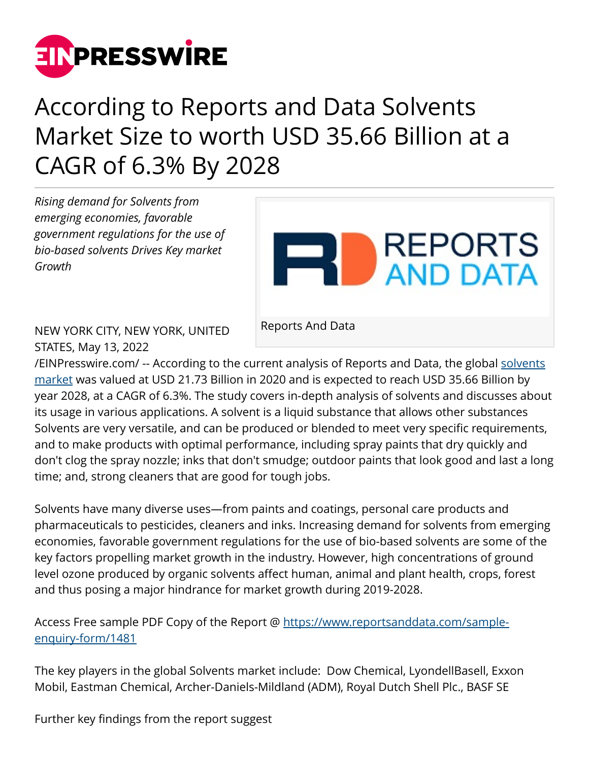

## According to Reports and Data Solvents Market Size to worth USD 35.66 Billion at a CAGR of 6.3% By 2028

*Rising demand for Solvents from emerging economies, favorable government regulations for the use of bio-based solvents Drives Key market Growth*



NEW YORK CITY, NEW YORK, UNITED STATES, May 13, 2022

Reports And Data

[/EINPresswire.com/](http://www.einpresswire.com) -- According to the current analysis of Reports and Data, the global [solvents](https://www.reportsanddata.com/report-detail/solvents-market) [market](https://www.reportsanddata.com/report-detail/solvents-market) was valued at USD 21.73 Billion in 2020 and is expected to reach USD 35.66 Billion by year 2028, at a CAGR of 6.3%. The study covers in-depth analysis of solvents and discusses about its usage in various applications. A solvent is a liquid substance that allows other substances Solvents are very versatile, and can be produced or blended to meet very specific requirements, and to make products with optimal performance, including spray paints that dry quickly and don't clog the spray nozzle; inks that don't smudge; outdoor paints that look good and last a long time; and, strong cleaners that are good for tough jobs.

Solvents have many diverse uses—from paints and coatings, personal care products and pharmaceuticals to pesticides, cleaners and inks. Increasing demand for solvents from emerging economies, favorable government regulations for the use of bio-based solvents are some of the key factors propelling market growth in the industry. However, high concentrations of ground level ozone produced by organic solvents affect human, animal and plant health, crops, forest and thus posing a major hindrance for market growth during 2019-2028.

Access Free sample PDF Copy of the Report @ [https://www.reportsanddata.com/sample](https://www.reportsanddata.com/sample-enquiry-form/1481)[enquiry-form/1481](https://www.reportsanddata.com/sample-enquiry-form/1481) 

The key players in the global Solvents market include: Dow Chemical, LyondellBasell, Exxon Mobil, Eastman Chemical, Archer-Daniels-Mildland (ADM), Royal Dutch Shell Plc., BASF SE

Further key findings from the report suggest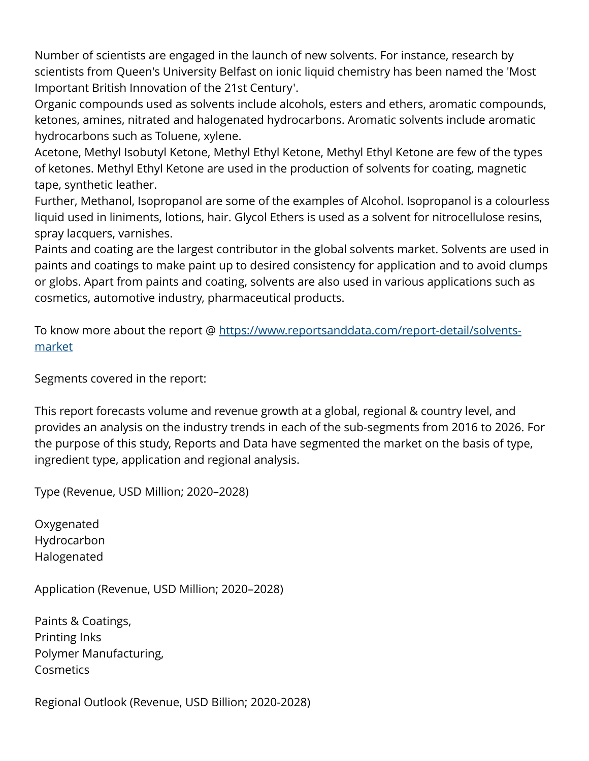Number of scientists are engaged in the launch of new solvents. For instance, research by scientists from Queen's University Belfast on ionic liquid chemistry has been named the 'Most Important British Innovation of the 21st Century'.

Organic compounds used as solvents include alcohols, esters and ethers, aromatic compounds, ketones, amines, nitrated and halogenated hydrocarbons. Aromatic solvents include aromatic hydrocarbons such as Toluene, xylene.

Acetone, Methyl Isobutyl Ketone, Methyl Ethyl Ketone, Methyl Ethyl Ketone are few of the types of ketones. Methyl Ethyl Ketone are used in the production of solvents for coating, magnetic tape, synthetic leather.

Further, Methanol, Isopropanol are some of the examples of Alcohol. Isopropanol is a colourless liquid used in liniments, lotions, hair. Glycol Ethers is used as a solvent for nitrocellulose resins, spray lacquers, varnishes.

Paints and coating are the largest contributor in the global solvents market. Solvents are used in paints and coatings to make paint up to desired consistency for application and to avoid clumps or globs. Apart from paints and coating, solvents are also used in various applications such as cosmetics, automotive industry, pharmaceutical products.

To know more about the report @ [https://www.reportsanddata.com/report-detail/solvents](https://www.reportsanddata.com/report-detail/solvents-market)[market](https://www.reportsanddata.com/report-detail/solvents-market)

Segments covered in the report:

This report forecasts volume and revenue growth at a global, regional & country level, and provides an analysis on the industry trends in each of the sub-segments from 2016 to 2026. For the purpose of this study, Reports and Data have segmented the market on the basis of type, ingredient type, application and regional analysis.

Type (Revenue, USD Million; 2020–2028)

Oxygenated Hydrocarbon Halogenated

Application (Revenue, USD Million; 2020–2028)

Paints & Coatings, Printing Inks Polymer Manufacturing, **Cosmetics** 

Regional Outlook (Revenue, USD Billion; 2020-2028)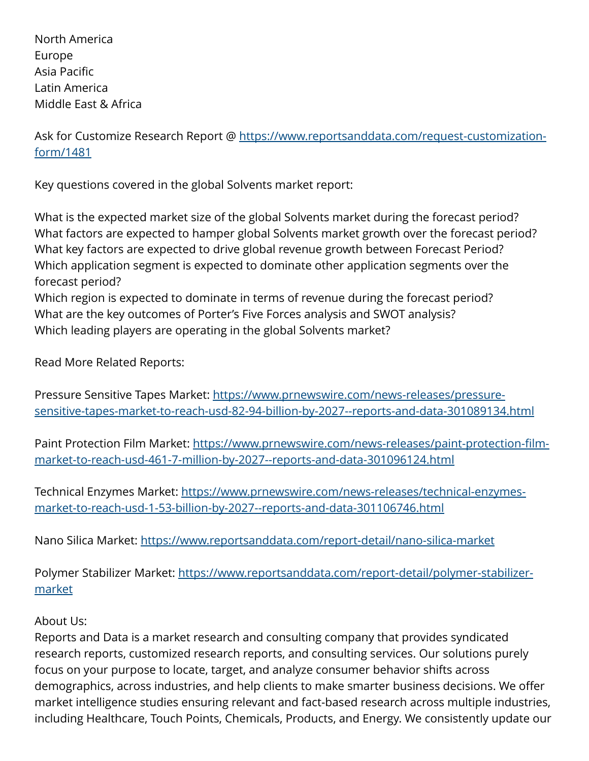North America Europe Asia Pacific Latin America Middle East & Africa

Ask for Customize Research Report @ [https://www.reportsanddata.com/request-customization](https://www.reportsanddata.com/request-customization-form/1481)[form/1481](https://www.reportsanddata.com/request-customization-form/1481)

Key questions covered in the global Solvents market report:

What is the expected market size of the global Solvents market during the forecast period? What factors are expected to hamper global Solvents market growth over the forecast period? What key factors are expected to drive global revenue growth between Forecast Period? Which application segment is expected to dominate other application segments over the forecast period?

Which region is expected to dominate in terms of revenue during the forecast period? What are the key outcomes of Porter's Five Forces analysis and SWOT analysis? Which leading players are operating in the global Solvents market?

Read More Related Reports:

Pressure Sensitive Tapes Market: [https://www.prnewswire.com/news-releases/pressure](https://www.prnewswire.com/news-releases/pressure-sensitive-tapes-market-to-reach-usd-82-94-billion-by-2027--reports-and-data-301089134.html)[sensitive-tapes-market-to-reach-usd-82-94-billion-by-2027--reports-and-data-301089134.html](https://www.prnewswire.com/news-releases/pressure-sensitive-tapes-market-to-reach-usd-82-94-billion-by-2027--reports-and-data-301089134.html)

Paint Protection Film Market: [https://www.prnewswire.com/news-releases/paint-protection-film](https://www.prnewswire.com/news-releases/paint-protection-film-market-to-reach-usd-461-7-million-by-2027--reports-and-data-301096124.html)[market-to-reach-usd-461-7-million-by-2027--reports-and-data-301096124.html](https://www.prnewswire.com/news-releases/paint-protection-film-market-to-reach-usd-461-7-million-by-2027--reports-and-data-301096124.html)

Technical Enzymes Market: [https://www.prnewswire.com/news-releases/technical-enzymes](https://www.prnewswire.com/news-releases/technical-enzymes-market-to-reach-usd-1-53-billion-by-2027--reports-and-data-301106746.html)[market-to-reach-usd-1-53-billion-by-2027--reports-and-data-301106746.html](https://www.prnewswire.com/news-releases/technical-enzymes-market-to-reach-usd-1-53-billion-by-2027--reports-and-data-301106746.html) 

Nano Silica Market:<https://www.reportsanddata.com/report-detail/nano-silica-market>

Polymer Stabilizer Market: [https://www.reportsanddata.com/report-detail/polymer-stabilizer](https://www.reportsanddata.com/report-detail/polymer-stabilizer-market)[market](https://www.reportsanddata.com/report-detail/polymer-stabilizer-market) 

## About Us:

Reports and Data is a market research and consulting company that provides syndicated research reports, customized research reports, and consulting services. Our solutions purely focus on your purpose to locate, target, and analyze consumer behavior shifts across demographics, across industries, and help clients to make smarter business decisions. We offer market intelligence studies ensuring relevant and fact-based research across multiple industries, including Healthcare, Touch Points, Chemicals, Products, and Energy. We consistently update our